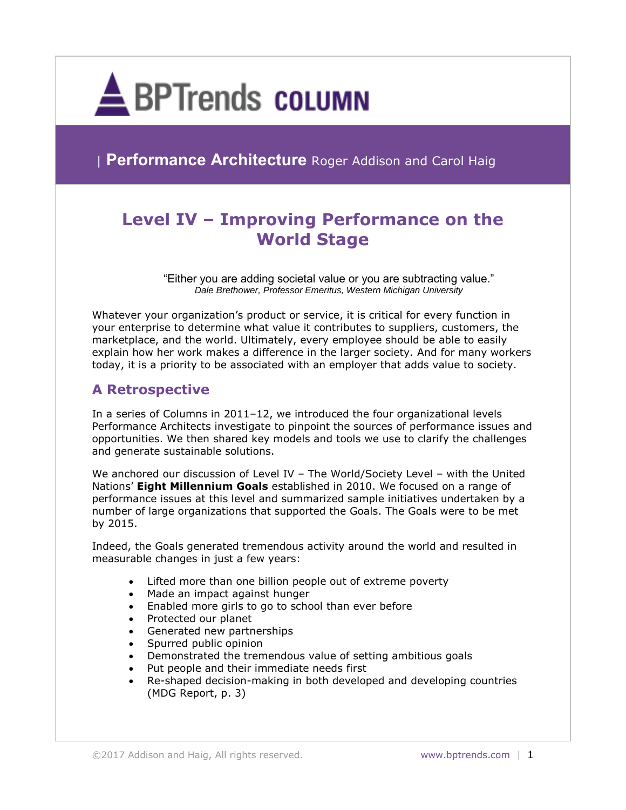

**Performance Architecture** Roger Addison and Carol Haig

# **Level IV – Improving Performance on the World Stage**

"Either you are adding societal value or you are subtracting value." *Dale Brethower, Professor Emeritus, Western Michigan University*

Whatever your organization's product or service, it is critical for every function in your enterprise to determine what value it contributes to suppliers, customers, the marketplace, and the world. Ultimately, every employee should be able to easily explain how her work makes a difference in the larger society. And for many workers today, it is a priority to be associated with an employer that adds value to society.

# **A Retrospective**

In a series of Columns in 2011–12, we introduced the four organizational levels Performance Architects investigate to pinpoint the sources of performance issues and opportunities. We then shared key models and tools we use to clarify the challenges and generate sustainable solutions.

We anchored our discussion of Level IV – The World/Society Level – with the United Nations' **Eight Millennium Goals** established in 2010. We focused on a range of performance issues at this level and summarized sample initiatives undertaken by a number of large organizations that supported the Goals. The Goals were to be met by 2015.

Indeed, the Goals generated tremendous activity around the world and resulted in measurable changes in just a few years:

- Lifted more than one billion people out of extreme poverty
- Made an impact against hunger
- Enabled more girls to go to school than ever before
- Protected our planet
- Generated new partnerships
- Spurred public opinion
- Demonstrated the tremendous value of setting ambitious goals
- Put people and their immediate needs first
- Re-shaped decision-making in both developed and developing countries (MDG Report, p. 3)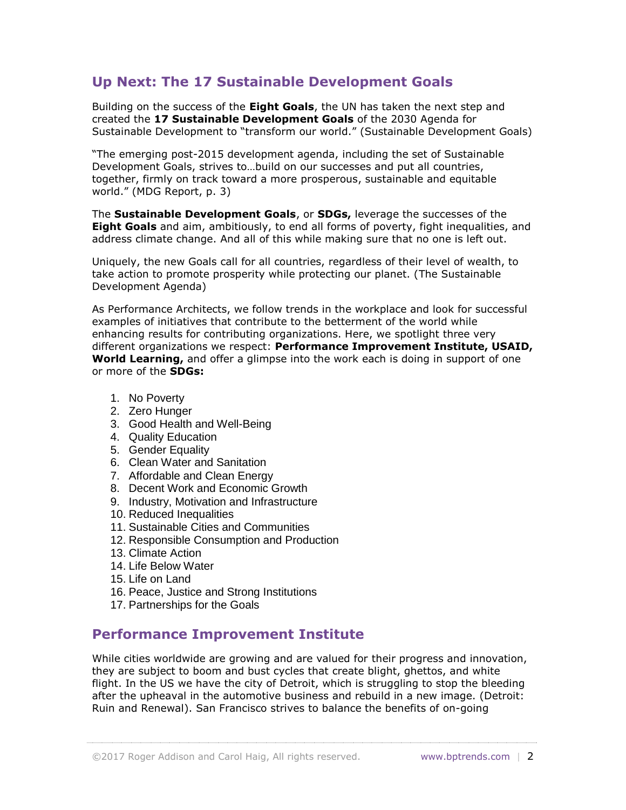# **Up Next: The 17 Sustainable Development Goals**

Building on the success of the **Eight Goals**, the UN has taken the next step and created the **17 Sustainable Development Goals** of the 2030 Agenda for Sustainable Development to "transform our world." (Sustainable Development Goals)

"The emerging post-2015 development agenda, including the set of Sustainable Development Goals, strives to…build on our successes and put all countries, together, firmly on track toward a more prosperous, sustainable and equitable world." (MDG Report, p. 3)

The **Sustainable Development Goals**, or **SDGs,** leverage the successes of the **Eight Goals** and aim, ambitiously, to end all forms of poverty, fight inequalities, and address climate change. And all of this while making sure that no one is left out.

Uniquely, the new Goals call for all countries, regardless of their level of wealth, to take action to promote prosperity while protecting our planet. (The Sustainable Development Agenda)

As Performance Architects, we follow trends in the workplace and look for successful examples of initiatives that contribute to the betterment of the world while enhancing results for contributing organizations. Here, we spotlight three very different organizations we respect: **Performance Improvement Institute, USAID, World Learning,** and offer a glimpse into the work each is doing in support of one or more of the **SDGs:**

- 1. No Poverty
- 2. Zero Hunger
- 3. Good Health and Well-Being
- 4. Quality Education
- 5. Gender Equality
- 6. Clean Water and Sanitation
- 7. Affordable and Clean Energy
- 8. Decent Work and Economic Growth
- 9. Industry, Motivation and Infrastructure
- 10. Reduced Inequalities
- 11. Sustainable Cities and Communities
- 12. Responsible Consumption and Production
- 13. Climate Action
- 14. Life Below Water
- 15. Life on Land
- 16. Peace, Justice and Strong Institutions
- 17. Partnerships for the Goals

# **Performance Improvement Institute**

While cities worldwide are growing and are valued for their progress and innovation, they are subject to boom and bust cycles that create blight, ghettos, and white flight. In the US we have the city of Detroit, which is struggling to stop the bleeding after the upheaval in the automotive business and rebuild in a new image. (Detroit: Ruin and Renewal). San Francisco strives to balance the benefits of on-going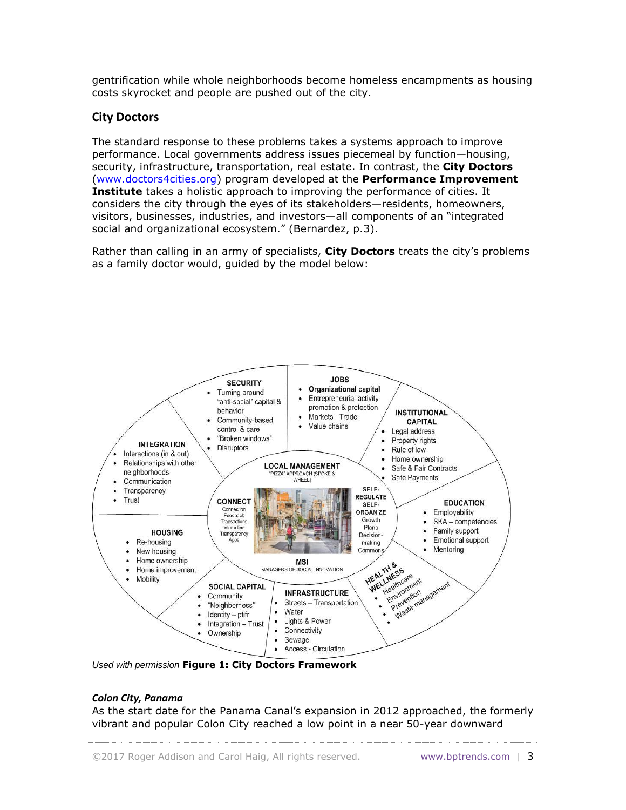gentrification while whole neighborhoods become homeless encampments as housing costs skyrocket and people are pushed out of the city.

## **City Doctors**

The standard response to these problems takes a systems approach to improve performance. Local governments address issues piecemeal by function—housing, security, infrastructure, transportation, real estate. In contrast, the **City Doctors** [\(www.doctors4cities.org\)](http://www.doctors4cities.org/) program developed at the **Performance Improvement Institute** takes a holistic approach to improving the performance of cities. It considers the city through the eyes of its stakeholders—residents, homeowners, visitors, businesses, industries, and investors—all components of an "integrated social and organizational ecosystem." (Bernardez, p.3).

Rather than calling in an army of specialists, **City Doctors** treats the city's problems as a family doctor would, guided by the model below:



*Used with permission* **Figure 1: City Doctors Framework**

#### *Colon City, Panama*

As the start date for the Panama Canal's expansion in 2012 approached, the formerly vibrant and popular Colon City reached a low point in a near 50-year downward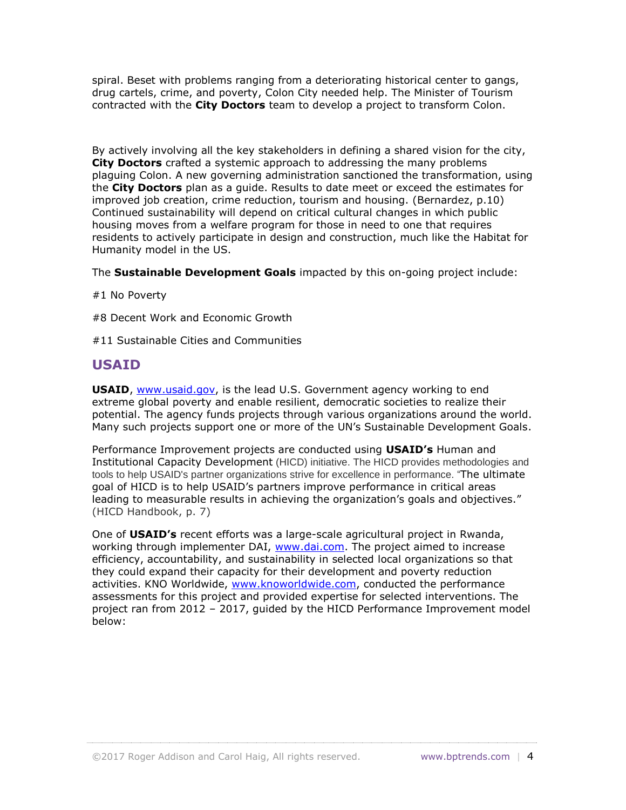spiral. Beset with problems ranging from a deteriorating historical center to gangs, drug cartels, crime, and poverty, Colon City needed help. The Minister of Tourism contracted with the **City Doctors** team to develop a project to transform Colon.

By actively involving all the key stakeholders in defining a shared vision for the city, **City Doctors** crafted a systemic approach to addressing the many problems plaguing Colon. A new governing administration sanctioned the transformation, using the **City Doctors** plan as a guide. Results to date meet or exceed the estimates for improved job creation, crime reduction, tourism and housing. (Bernardez, p.10) Continued sustainability will depend on critical cultural changes in which public housing moves from a welfare program for those in need to one that requires residents to actively participate in design and construction, much like the Habitat for Humanity model in the US.

The **Sustainable Development Goals** impacted by this on-going project include:

- #1 No Poverty
- #8 Decent Work and Economic Growth
- #11 Sustainable Cities and Communities

## **USAID**

**USAID**, [www.usaid.gov,](http://www.usaid.gov/) is the lead U.S. Government agency working to end extreme global poverty and enable resilient, democratic societies to realize their potential. The agency funds projects through various organizations around the world. Many such projects support one or more of the UN's Sustainable Development Goals.

Performance Improvement projects are conducted using **USAID's** Human and Institutional Capacity Development (HICD) initiative. The HICD provides methodologies and tools to help USAID's partner organizations strive for excellence in performance. "The ultimate goal of HICD is to help USAID's partners improve performance in critical areas leading to measurable results in achieving the organization's goals and objectives." (HICD Handbook, p. 7)

One of **USAID's** recent efforts was a large-scale agricultural project in Rwanda, working through implementer DAI, [www.dai.com.](http://www.dai.com/) The project aimed to increase efficiency, accountability, and sustainability in selected local organizations so that they could expand their capacity for their development and poverty reduction activities. KNO Worldwide, [www.knoworldwide.com,](http://www.knoworldwide.com/) conducted the performance assessments for this project and provided expertise for selected interventions. The project ran from 2012 – 2017, guided by the HICD Performance Improvement model below: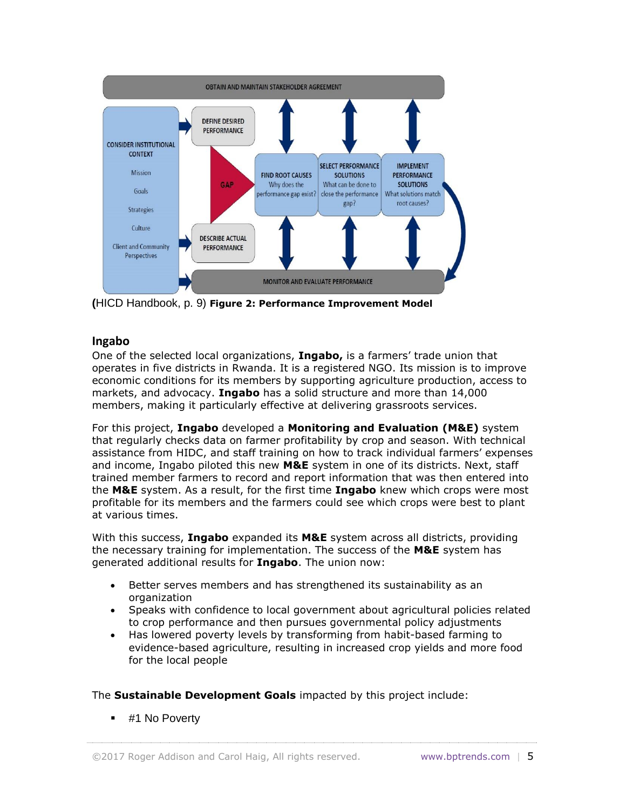

**(**HICD Handbook, p. 9) **Figure 2: Performance Improvement Model**

#### **Ingabo**

One of the selected local organizations, **Ingabo,** is a farmers' trade union that operates in five districts in Rwanda. It is a registered NGO. Its mission is to improve economic conditions for its members by supporting agriculture production, access to markets, and advocacy. **Ingabo** has a solid structure and more than 14,000 members, making it particularly effective at delivering grassroots services.

For this project, **Ingabo** developed a **Monitoring and Evaluation (M&E)** system that regularly checks data on farmer profitability by crop and season. With technical assistance from HIDC, and staff training on how to track individual farmers' expenses and income, Ingabo piloted this new **M&E** system in one of its districts. Next, staff trained member farmers to record and report information that was then entered into the **M&E** system. As a result, for the first time **Ingabo** knew which crops were most profitable for its members and the farmers could see which crops were best to plant at various times.

With this success, **Ingabo** expanded its **M&E** system across all districts, providing the necessary training for implementation. The success of the **M&E** system has generated additional results for **Ingabo**. The union now:

- Better serves members and has strengthened its sustainability as an organization
- Speaks with confidence to local government about agricultural policies related to crop performance and then pursues governmental policy adjustments
- Has lowered poverty levels by transforming from habit-based farming to evidence-based agriculture, resulting in increased crop yields and more food for the local people

The **Sustainable Development Goals** impacted by this project include:

**.** #1 No Poverty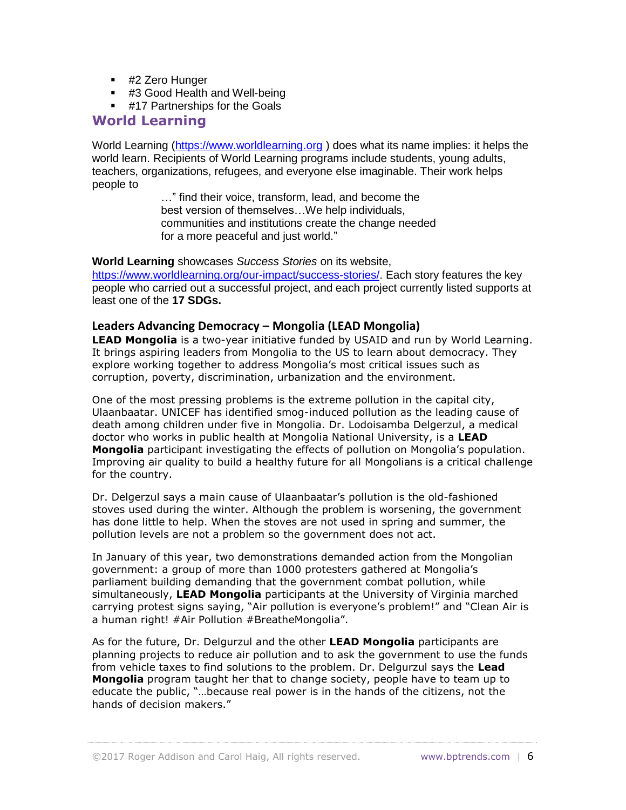- #2 Zero Hunger
- #3 Good Health and Well-being
- **#17 Partnerships for the Goals**

## **World Learning**

World Learning [\(https://www.worldlearning.org](https://www.worldlearning.org/) ) does what its name implies: it helps the world learn. Recipients of World Learning programs include students, young adults, teachers, organizations, refugees, and everyone else imaginable. Their work helps people to

> …" find their voice, transform, lead, and become the best version of themselves…We help individuals, communities and institutions create the change needed for a more peaceful and just world."

**World Learning** showcases *Success Stories* on its website,

[https://www.worldlearning.org/our-impact/success-stories/.](https://www.worldlearning.org/our-impact/success-stories/) Each story features the key people who carried out a successful project, and each project currently listed supports at least one of the **17 SDGs.**

#### **Leaders Advancing Democracy – Mongolia (LEAD Mongolia)**

**LEAD Mongolia** is a two-year initiative funded by USAID and run by World Learning. It brings aspiring leaders from Mongolia to the US to learn about democracy. They explore working together to address Mongolia's most critical issues such as corruption, poverty, discrimination, urbanization and the environment.

One of the most pressing problems is the extreme pollution in the capital city, Ulaanbaatar. UNICEF has identified smog-induced pollution as the leading cause of death among children under five in Mongolia. Dr. Lodoisamba Delgerzul, a medical doctor who works in public health at Mongolia National University, is a **LEAD Mongolia** participant investigating the effects of pollution on Mongolia's population. Improving air quality to build a healthy future for all Mongolians is a critical challenge for the country.

Dr. Delgerzul says a main cause of Ulaanbaatar's pollution is the old-fashioned stoves used during the winter. Although the problem is worsening, the government has done little to help. When the stoves are not used in spring and summer, the pollution levels are not a problem so the government does not act.

In January of this year, two demonstrations demanded action from the Mongolian government: a group of more than 1000 protesters gathered at Mongolia's parliament building demanding that the government combat pollution, while simultaneously, **LEAD Mongolia** participants at the University of Virginia marched carrying protest signs saying, "Air pollution is everyone's problem!" and "Clean Air is a human right! #Air Pollution #BreatheMongolia".

As for the future, Dr. Delgurzul and the other **LEAD Mongolia** participants are planning projects to reduce air pollution and to ask the government to use the funds from vehicle taxes to find solutions to the problem. Dr. Delgurzul says the **Lead Mongolia** program taught her that to change society, people have to team up to educate the public, "…because real power is in the hands of the citizens, not the hands of decision makers."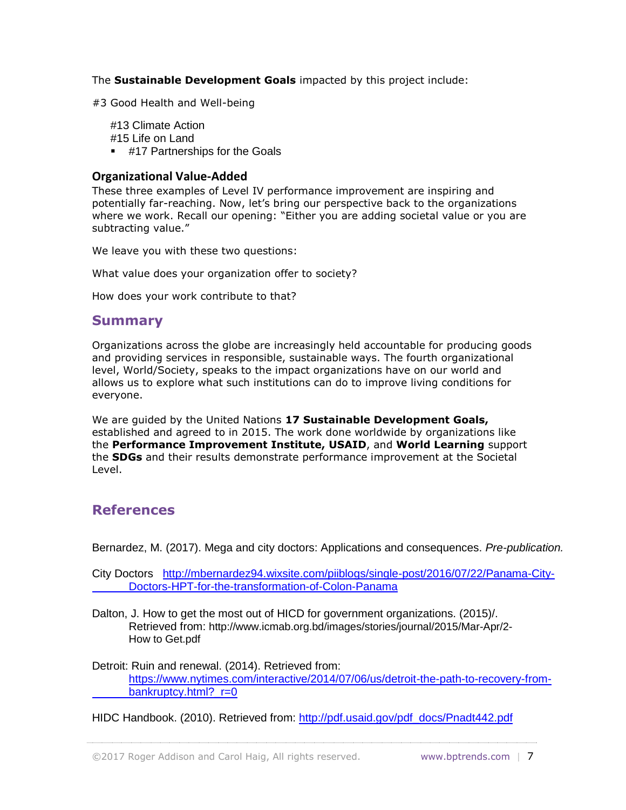The **Sustainable Development Goals** impacted by this project include:

#3 Good Health and Well-being

#13 Climate Action #15 Life on Land

**#17 Partnerships for the Goals** 

#### **Organizational Value-Added**

These three examples of Level IV performance improvement are inspiring and potentially far-reaching. Now, let's bring our perspective back to the organizations where we work. Recall our opening: "Either you are adding societal value or you are subtracting value."

We leave you with these two questions:

What value does your organization offer to society?

How does your work contribute to that?

#### **Summary**

Organizations across the globe are increasingly held accountable for producing goods and providing services in responsible, sustainable ways. The fourth organizational level, World/Society, speaks to the impact organizations have on our world and allows us to explore what such institutions can do to improve living conditions for everyone.

We are guided by the United Nations **17 Sustainable Development Goals,**  established and agreed to in 2015. The work done worldwide by organizations like the **Performance Improvement Institute, USAID**, and **World Learning** support the **SDGs** and their results demonstrate performance improvement at the Societal Level.

## **References**

Bernardez, M. (2017). Mega and city doctors: Applications and consequences. *Pre-publication.*

City Doctors [http://mbernardez94.wixsite.com/piiblogs/single-post/2016/07/22/Panama-City-](http://mbernardez94.wixsite.com/piiblogs/single-post/2016/07/22/Panama-City-%09Doctors-HPT-for-the-transformation-of-Colon-Panama)[Doctors-HPT-for-the-transformation-of-Colon-Panama](http://mbernardez94.wixsite.com/piiblogs/single-post/2016/07/22/Panama-City-%09Doctors-HPT-for-the-transformation-of-Colon-Panama)

Dalton, J. How to get the most out of HICD for government organizations. (2015)/. Retrieved from: http://www.icmab.org.bd/images/stories/journal/2015/Mar-Apr/2- How to Get.pdf

Detroit: Ruin and renewal. (2014). Retrieved from: [https://www.nytimes.com/interactive/2014/07/06/us/detroit-the-path-to-recovery-from](https://www.nytimes.com/interactive/2014/07/06/us/detroit-the-path-to-recovery-from-%09bankruptcy.html?_r=0)bankruptcy.html? r=0

HIDC Handbook. (2010). Retrieved from: [http://pdf.usaid.gov/pdf\\_docs/Pnadt442.pdf](http://pdf.usaid.gov/pdf_docs/Pnadt442.pdf)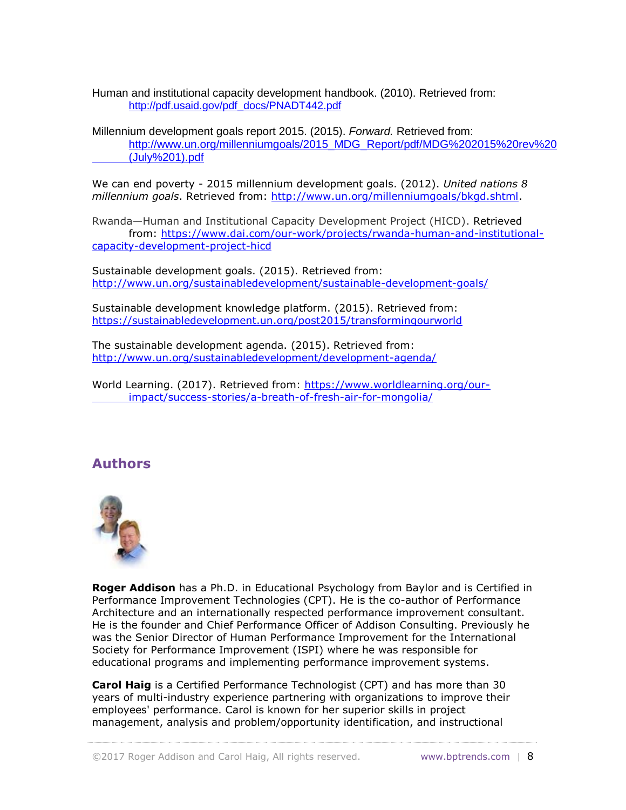Human and institutional capacity development handbook. (2010). Retrieved from: [http://pdf.usaid.gov/pdf\\_docs/PNADT442.pdf](http://pdf.usaid.gov/pdf_docs/PNADT442.pdf)

Millennium development goals report 2015. (2015). *Forward.* Retrieved from: [http://www.un.org/millenniumgoals/2015\\_MDG\\_Report/pdf/MDG%202015%20rev%20](http://www.un.org/millenniumgoals/2015_MDG_Report/pdf/MDG%202015%20rev%20%09(July%201).pdf) [\(July%201\).pdf](http://www.un.org/millenniumgoals/2015_MDG_Report/pdf/MDG%202015%20rev%20%09(July%201).pdf)

We can end poverty - 2015 millennium development goals. (2012). *United nations 8 millennium goals*. Retrieved from: [http://www.un.org/millenniumgoals/bkgd.shtml.](http://www.un.org/millenniumgoals/bkgd.shtml)

Rwanda—Human and Institutional Capacity Development Project (HICD). Retrieved from: [https://www.dai.com/our-work/projects/rwanda-human-and-institutional](https://www.dai.com/our-work/projects/rwanda-human-and-institutional-capacity-development-project-hicd)[capacity-development-project-hicd](https://www.dai.com/our-work/projects/rwanda-human-and-institutional-capacity-development-project-hicd)

Sustainable development goals. (2015). Retrieved from: <http://www.un.org/sustainabledevelopment/sustainable-development-goals/>

Sustainable development knowledge platform. (2015). Retrieved from: <https://sustainabledevelopment.un.org/post2015/transformingourworld>

The sustainable development agenda. (2015). Retrieved from: <http://www.un.org/sustainabledevelopment/development-agenda/>

World Learning. (2017). Retrieved from: [https://www.worldlearning.org/our](https://www.worldlearning.org/our-impact/success-stories/a-breath-of-fresh-air-for-mongolia/)[impact/success-stories/a-breath-of-fresh-air-for-mongolia/](https://www.worldlearning.org/our-impact/success-stories/a-breath-of-fresh-air-for-mongolia/)

# **Authors**



**Roger Addison** has a Ph.D. in Educational Psychology from Baylor and is Certified in Performance Improvement Technologies (CPT). He is the co-author of Performance Architecture and an internationally respected performance improvement consultant. He is the founder and Chief Performance Officer of Addison Consulting. Previously he was the Senior Director of Human Performance Improvement for the International Society for Performance Improvement (ISPI) where he was responsible for educational programs and implementing performance improvement systems.

**Carol Haig** is a Certified Performance Technologist (CPT) and has more than 30 years of multi-industry experience partnering with organizations to improve their employees' performance. Carol is known for her superior skills in project management, analysis and problem/opportunity identification, and instructional